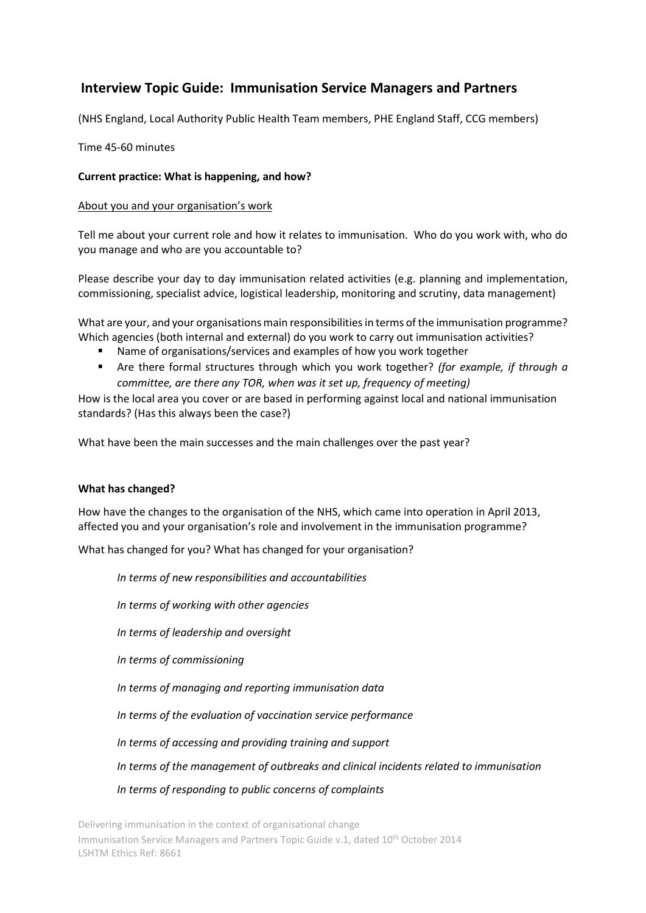# **Interview Topic Guide: Immunisation Service Managers and Partners**

(NHS England, Local Authority Public Health Team members, PHE England Staff, CCG members)

Time 45-60 minutes

# **Current practice: What is happening, and how?**

# About you and your organisation's work

Tell me about your current role and how it relates to immunisation. Who do you work with, who do you manage and who are you accountable to?

Please describe your day to day immunisation related activities (e.g. planning and implementation, commissioning, specialist advice, logistical leadership, monitoring and scrutiny, data management)

What are your, and your organisations main responsibilities in terms of the immunisation programme? Which agencies (both internal and external) do you work to carry out immunisation activities?

- Name of organisations/services and examples of how you work together
- Are there formal structures through which you work together? *(for example, if through a committee, are there any TOR, when was it set up, frequency of meeting)*

How is the local area you cover or are based in performing against local and national immunisation standards? (Has this always been the case?)

What have been the main successes and the main challenges over the past year?

## **What has changed?**

How have the changes to the organisation of the NHS, which came into operation in April 2013, affected you and your organisation's role and involvement in the immunisation programme?

What has changed for you? What has changed for your organisation?

*In terms of new responsibilities and accountabilities* 

*In terms of working with other agencies*

*In terms of leadership and oversight*

*In terms of commissioning* 

*In terms of managing and reporting immunisation data* 

*In terms of the evaluation of vaccination service performance* 

*In terms of accessing and providing training and support* 

*In terms of the management of outbreaks and clinical incidents related to immunisation*

*In terms of responding to public concerns of complaints*